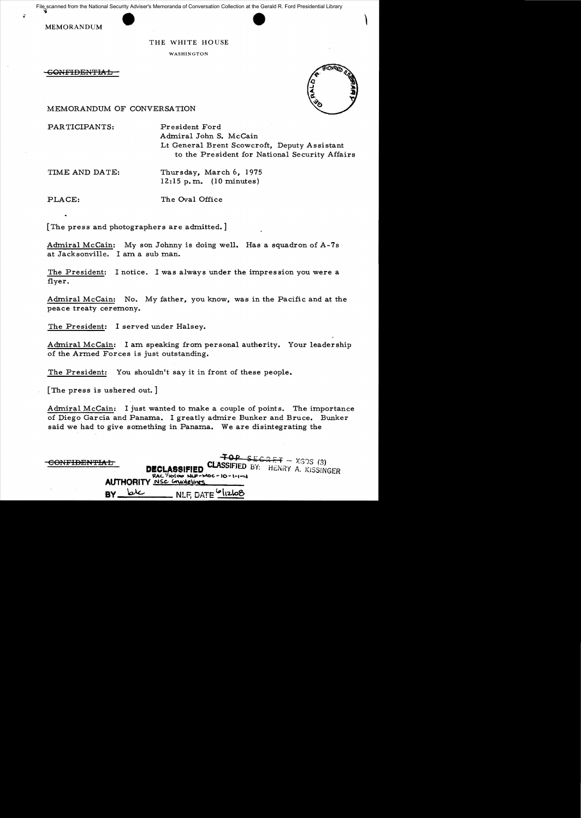File scanned from the National Security Adviser's Memoranda of Conversation Collection at the Gerald R. Ford Presidential Library



### THE WHITE HOUSE

WASHINGTON

G<del>ONFIDENTIAL</del>



MEMORANDUM OF CONVERSATION

PARTICIPANTS: President Ford

Admiral John S. McCain Lt General Brent Scowcroft, Deputy Assistant to the President for National Security Affairs

TIME AND DATE: Thursday, March 6, 1975 12:15 p.m. (10 minutes)

PLACE: The Oval Office

[The press and photographers are admitted.]

Admiral McCain: My son Johnny is doing well. Has a squadron of A-7s at Jacksonville. I am a sub man.

The President: I notice. I was always under the impression you were a flyer.

Admiral McCain: No. My father, you know, was in the Pacific and at the peace treaty ceremony.

The President: I served under Halsey.

Admiral McCain: I am speaking from personal authority. Your leadership of the Armed Forces is just outstanding.

The President: You shouldn't say it in front of these people.

[The press is ushered out. ]

Admiral McCain: I just wanted to make a couple of points. The importance of Diego Garcia and Panama. I greatly admire Bunker and Bruce. Bunker said we had to give something in Panama. We are disintegrating the

| CONFIDENTIAL | <b>DECLASSIFIED CLASSIFIED BY:</b> HENRY A. KISSINGER<br>$RAC$ /10 00 NUF-MOC-10-1-1-4<br><b>AUTHORITY</b> <u>NSC</u> Grundelines | $\overline{+0P}$ segret - XGDS (3) |
|--------------|-----------------------------------------------------------------------------------------------------------------------------------|------------------------------------|
| سملما        | $\blacksquare$ NLF. DATE $\Omega$ IIzloo                                                                                          |                                    |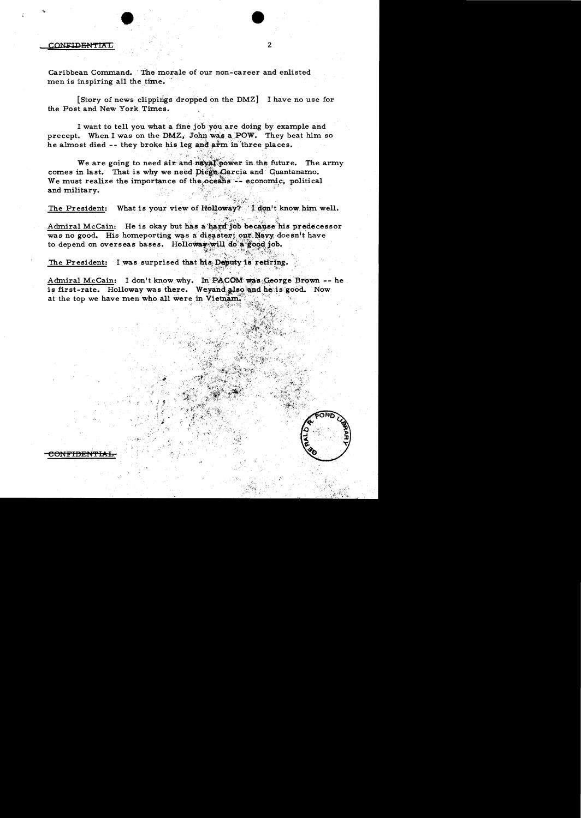#### CONFIDENTIAL

Caribbean Command. The morale of our non-career and enlisted men is inspiring all the time.

[Story of news clippings dropped on the DMZ] I have no use for the Post and New York Times.

 $\overline{2}$ 

I want to tell you what a fine job you are doing by example and precept. When I was on the DMZ, John was a POW. They beat him so he almost died -- they broke his leg and arm in three places.

We are going to need air and naval power in the future. The army comes in last. That is why we need Diego Garcia and Guantanamo. We must realize the importance of the oceans -- economic, political and military.

What is your view of Holloway? I don't know him well. The President:

Admiral McCain: He is okay but has a hard job because his predecessor was no good. His homeporting was a disaster; our Navy doesn't have to depend on overseas bases. Holloway will do a good job.

The President: I was surprised that his Deputy is retiring.

Admiral McCain: I don't know why. In PACOM was George Brown -- he is first-rate. Holloway was there. Weyand also and he is good. Now at the top we have men who all were in Vietnam.

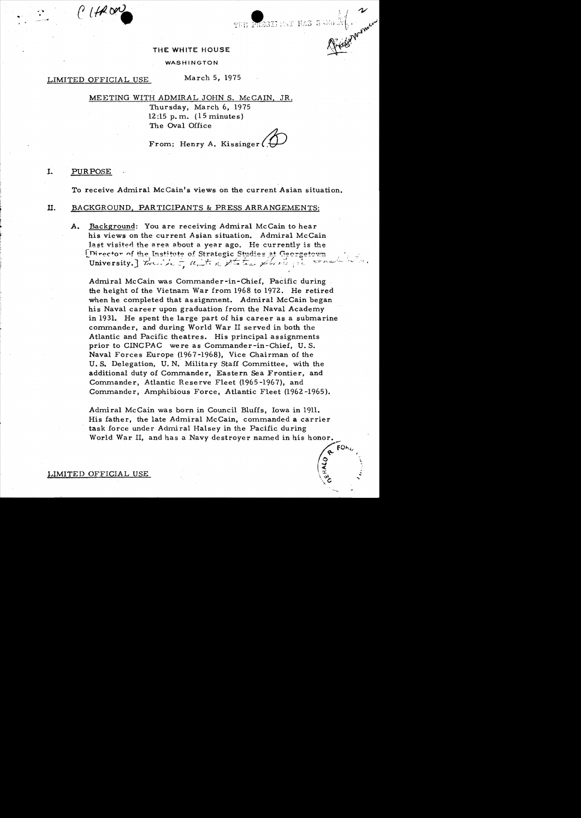# THE PRESELENT HAS SWOLLER MORE THE WHITE HOUSE

### WASHINGTON

## LIMITED OFFICIAL USE

l'Item

March 5. 1975

MEETING WITH ADMIRAL JOHN S. McCAIN, JR.

Thursday, March 6, 1975 12:15 p.m.  $(15 \text{ minutes})$ The Oval Office

From: Henry A. Kissinger

#### I. **PURPOSE**

To receive Admiral McCain's views on the current Asian situation.

#### П. BACKGROUND, PARTICIPANTS & PRESS ARRANGEMENTS:

Background: You are receiving Admiral McCain to hear  $A_{\bullet}$ his views on the current Asian situation. Admiral McCain last visited the area about a year ago. He currently is the [Director of the Institute of Strategic Studies at Georgetown University. Fruite & units of the plants of

Admiral McCain was Commander-in-Chief, Pacific during the height of the Vietnam War from 1968 to 1972. He retired when he completed that assignment. Admiral McCain began his Naval career upon graduation from the Naval Academy in 1931. He spent the large part of his career as a submarine commander, and during World War II served in both the Atlantic and Pacific theatres. His principal assignments prior to CINCPAC were as Commander-in-Chief, U.S. Naval Forces Europe (1967-1968), Vice Chairman of the U.S. Delegation, U.N. Military Staff Committee, with the additional duty of Commander, Eastern Sea Frontier, and Commander, Atlantic Reserve Fleet (1965-1967), and Commander, Amphibious Force, Atlantic Fleet (1962-1965).

Admiral McCain was born in Council Bluffs, Iowa in 1911. His father, the late Admiral McCain, commanded a carrier task force under Admiral Halsey in the Pacific during World War II, and has a Navy destroyer named in his honor.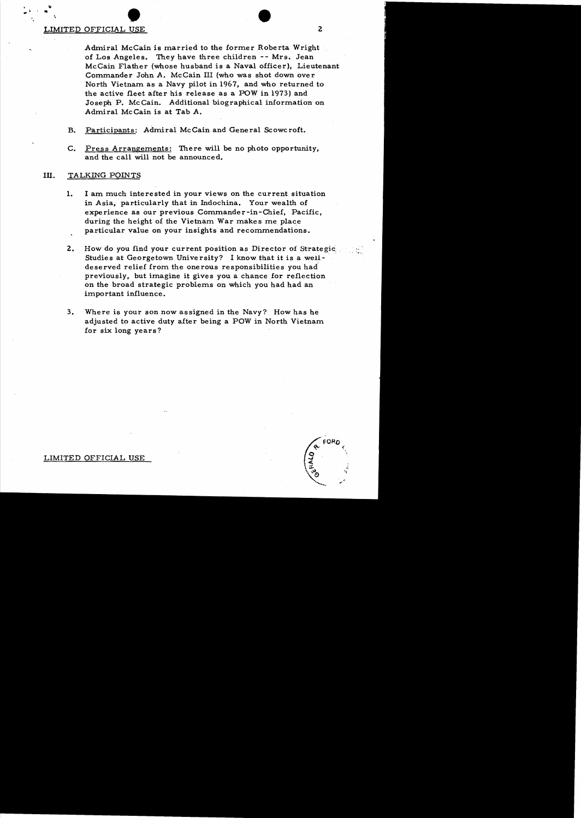# LIMITED OFFICIAL USE 2  $\bullet$ <br>USE

 $\frac{1}{n}$ .  $\frac{1}{n}$  $\, \cdot \,$   $\,$ 

> Admiral McCain is married to the former Roberta Wright of Los Angeles. They have three children -- Mrs. Jean McCain F1ather (whose husband is a Naval officer), Lieutenant Commander John A. McCain III (who was shot down over North Vietnam as a Navy pilot in 1967, and who returned to the active fleet after his release as a POW in 1973) and Joseph P. McCain. Additional biographical information on Admiral McCain is at Tab A.

- B. Participants: Admiral McCain and General Scowcroft.
- C. Press Arrangements: There will be no photo opportunity, and the call will not be announced.

## Ill. TALKING POINTS

- 1. I am much interested in your views on the current situation in Asia, particularly that in Indochina. Your wealth of experience as our previous Commander-in-Chief, Pacific, during the height of the Vietnam War makes me place particular value on your insights and recommendations.
- 2. How do you find your current position as Director of Strategic. Studies at Georgetown University? I know that it is a welldeserved relief from the onerous responsibilities you had previously, but imagine it gives you a chance for reflection on the broad strategic problems on which you had had an important influence.
- 3. Where is your son now assigned in the Navy? How has he adjusted to active duty after being a POW in North Vietnam for six long years?

LIMITED OFFICIAL USE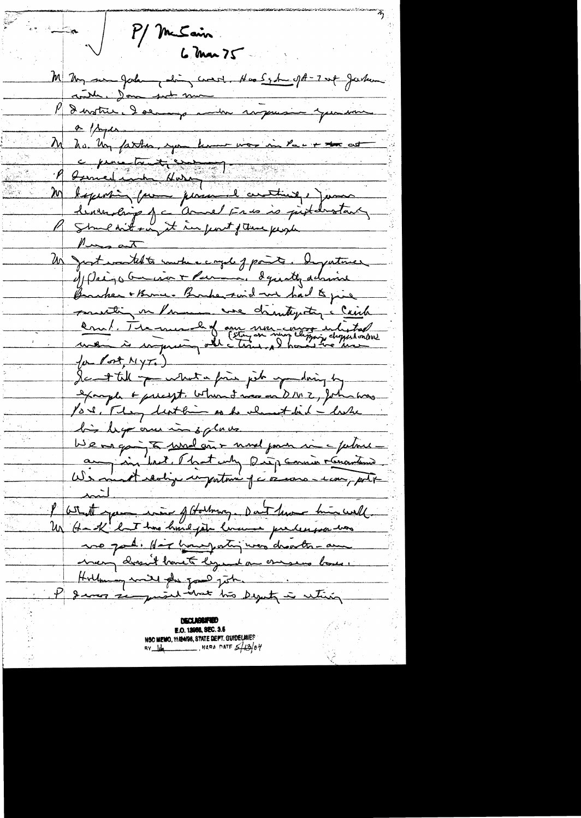M/ McSain.  $6$  Mar  $75$ M My me Jodan dois court. Has System på-7 up Jacken contre donc sub ma P denstre doeur au régime pour une M ho. Un father, you know was in Pacin to as deuxembring of a come frequencie prestant P smeartou it in just part page Un groot would to south a comple of points. Deputance of Paigo busines + Parma, Squatty admire Barber + Bruce - Barber said and had to pie position in Promen we chemitything a Caich en 1. The mean he of any morning interpretation  $\{\mu\text{ for all }N\}$ Se till public prie job expansion by example & precept. When I was on DIVI , John was Por . They leather as he almost bid - lake bis legs au mes graves au in brit. Phat why purp samin rénontement  $rac{1}{\sqrt{2\cdot\frac{1}{2}}\cdot\frac{1}{2}}$ l'attent que mois fatalmong. Don't tous him well Un Hark hart has hund job lume predecissation no pad. Har howe porting was dreath-an many dossn't bank legend on onesens base. Hollman will plu pour john. If I was sempressed that this Deputy is retiring

E.O. 13955, SEC. 3.5 NSC MEMO, 11/24/98, STATE DEFT. GUIDELINES  $x = \frac{1}{4}$  MARA DATE  $\frac{2}{10}$ 04